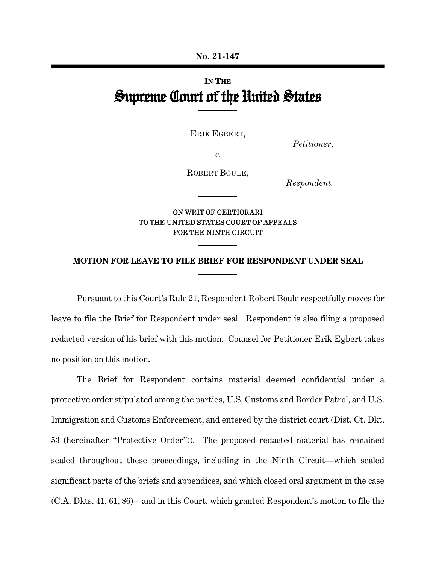# **IN THE** Supreme Court of the United States

ERIK EGBERT,

*Petitioner*,

*v.*

ROBERT BOULE,

*Respondent.*

## ON WRIT OF CERTIORARI TO THE UNITED STATES COURT OF APPEALS FOR THE NINTH CIRCUIT

#### **MOTION FOR LEAVE TO FILE BRIEF FOR RESPONDENT UNDER SEAL**

Pursuant to this Court's Rule 21, Respondent Robert Boule respectfully moves for leave to file the Brief for Respondent under seal. Respondent is also filing a proposed redacted version of his brief with this motion. Counsel for Petitioner Erik Egbert takes no position on this motion.

The Brief for Respondent contains material deemed confidential under a protective order stipulated among the parties, U.S. Customs and Border Patrol, and U.S. Immigration and Customs Enforcement, and entered by the district court (Dist. Ct. Dkt. 53 (hereinafter "Protective Order")). The proposed redacted material has remained sealed throughout these proceedings, including in the Ninth Circuit—which sealed significant parts of the briefs and appendices, and which closed oral argument in the case (C.A. Dkts. 41, 61, 86)—and in this Court, which granted Respondent's motion to file the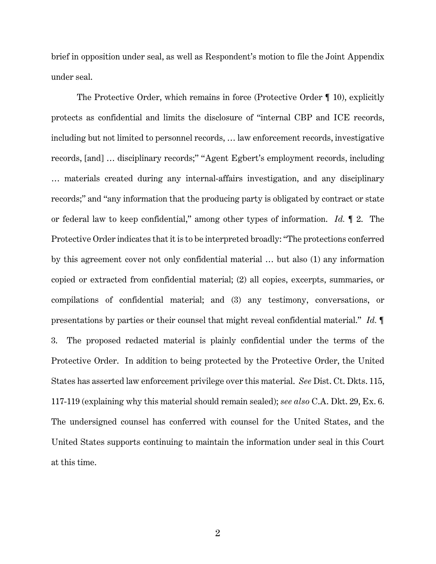brief in opposition under seal, as well as Respondent's motion to file the Joint Appendix under seal.

The Protective Order, which remains in force (Protective Order ¶ 10), explicitly protects as confidential and limits the disclosure of "internal CBP and ICE records, including but not limited to personnel records, … law enforcement records, investigative records, [and] … disciplinary records;" "Agent Egbert's employment records, including … materials created during any internal-affairs investigation, and any disciplinary records;" and "any information that the producing party is obligated by contract or state or federal law to keep confidential," among other types of information. *Id.* ¶ 2. The Protective Order indicates that it is to be interpreted broadly: "The protections conferred by this agreement cover not only confidential material … but also (1) any information copied or extracted from confidential material; (2) all copies, excerpts, summaries, or compilations of confidential material; and (3) any testimony, conversations, or presentations by parties or their counsel that might reveal confidential material." *Id.* ¶ 3. The proposed redacted material is plainly confidential under the terms of the Protective Order. In addition to being protected by the Protective Order, the United States has asserted law enforcement privilege over this material. *See* Dist. Ct. Dkts. 115, 117-119 (explaining why this material should remain sealed); *see also* C.A. Dkt. 29, Ex. 6. The undersigned counsel has conferred with counsel for the United States, and the United States supports continuing to maintain the information under seal in this Court at this time.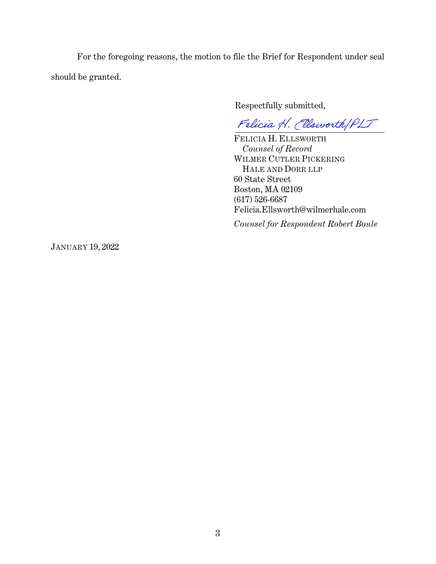For the foregoing reasons, the motion to file the Brief for Respondent under seal should be granted.

Respectfully submitted,

Felicia H. Ellsworth PLT

 FELICIA H. ELLSWORTH *Counsel of Record* WILMER CUTLER PICKERING HALE AND DORR LLP 60 State Street Boston, MA 02109 (617) 526-6687 Felicia.Ellsworth@wilmerhale.com

*Counsel for Respondent Robert Boule*

JANUARY 19, 2022